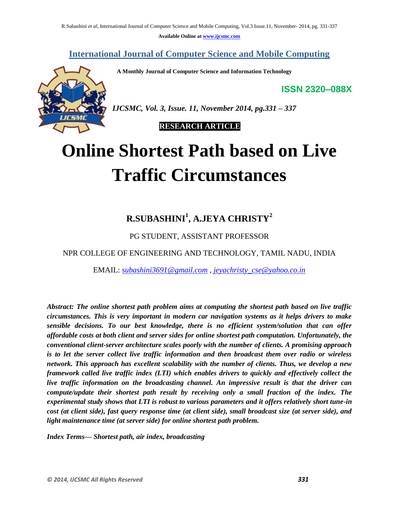**Available Online at www.ijcsmc.com**

**International Journal of Computer Science and Mobile Computing**

 **A Monthly Journal of Computer Science and Information Technology**

**ISSN 2320–088X**



*IJCSMC, Vol. 3, Issue. 11, November 2014, pg.331 – 337*

## **RESEARCH ARTICLE**

# **Online Shortest Path based on Live Traffic Circumstances**

# **R.SUBASHINI<sup>1</sup> , A.JEYA CHRISTY<sup>2</sup>**

## PG STUDENT, ASSISTANT PROFESSOR

#### NPR COLLEGE OF ENGINEERING AND TECHNOLOGY, TAMIL NADU, INDIA

EMAIL: *subashini3691@gmail.com , jeyachristy\_cse@yahoo.co.in*

*Abstract: The online shortest path problem aims at computing the shortest path based on live traffic circumstances. This is very important in modern car navigation systems as it helps drivers to make sensible decisions. To our best knowledge, there is no efficient system/solution that can offer affordable costs at both client and server sides for online shortest path computation. Unfortunately, the conventional client-server architecture scales poorly with the number of clients. A promising approach is to let the server collect live traffic information and then broadcast them over radio or wireless network. This approach has excellent scalability with the number of clients. Thus, we develop a new framework called live traffic index (LTI) which enables drivers to quickly and effectively collect the live traffic information on the broadcasting channel. An impressive result is that the driver can compute/update their shortest path result by receiving only a small fraction of the index. The experimental study shows that LTI is robust to various parameters and it offers relatively short tune-in cost (at client side), fast query response time (at client side), small broadcast size (at server side), and light maintenance time (at server side) for online shortest path problem.*

*Index Terms— Shortest path, air index, broadcasting*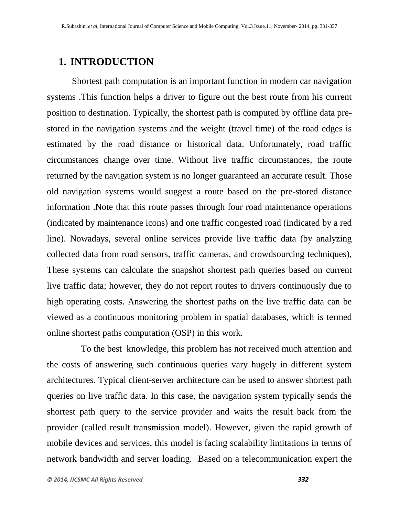# **1. INTRODUCTION**

 Shortest path computation is an important function in modern car navigation systems .This function helps a driver to figure out the best route from his current position to destination. Typically, the shortest path is computed by offline data prestored in the navigation systems and the weight (travel time) of the road edges is estimated by the road distance or historical data. Unfortunately, road traffic circumstances change over time. Without live traffic circumstances, the route returned by the navigation system is no longer guaranteed an accurate result. Those old navigation systems would suggest a route based on the pre-stored distance information .Note that this route passes through four road maintenance operations (indicated by maintenance icons) and one traffic congested road (indicated by a red line). Nowadays, several online services provide live traffic data (by analyzing collected data from road sensors, traffic cameras, and crowdsourcing techniques), These systems can calculate the snapshot shortest path queries based on current live traffic data; however, they do not report routes to drivers continuously due to high operating costs. Answering the shortest paths on the live traffic data can be viewed as a continuous monitoring problem in spatial databases, which is termed online shortest paths computation (OSP) in this work.

 To the best knowledge, this problem has not received much attention and the costs of answering such continuous queries vary hugely in different system architectures. Typical client-server architecture can be used to answer shortest path queries on live traffic data. In this case, the navigation system typically sends the shortest path query to the service provider and waits the result back from the provider (called result transmission model). However, given the rapid growth of mobile devices and services, this model is facing scalability limitations in terms of network bandwidth and server loading. Based on a telecommunication expert the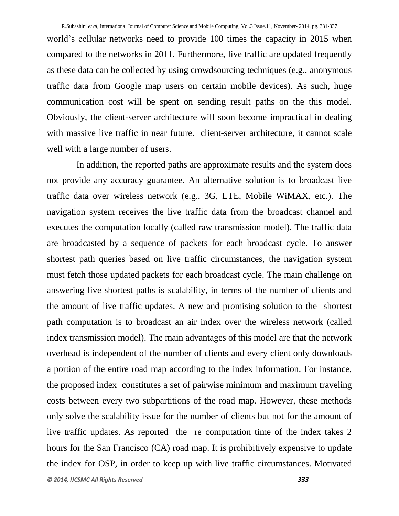world's cellular networks need to provide 100 times the capacity in 2015 when compared to the networks in 2011. Furthermore, live traffic are updated frequently as these data can be collected by using crowdsourcing techniques (e.g., anonymous traffic data from Google map users on certain mobile devices). As such, huge communication cost will be spent on sending result paths on the this model. Obviously, the client-server architecture will soon become impractical in dealing with massive live traffic in near future. client-server architecture, it cannot scale well with a large number of users.

 In addition, the reported paths are approximate results and the system does not provide any accuracy guarantee. An alternative solution is to broadcast live traffic data over wireless network (e.g., 3G, LTE, Mobile WiMAX, etc.). The navigation system receives the live traffic data from the broadcast channel and executes the computation locally (called raw transmission model). The traffic data are broadcasted by a sequence of packets for each broadcast cycle. To answer shortest path queries based on live traffic circumstances, the navigation system must fetch those updated packets for each broadcast cycle. The main challenge on answering live shortest paths is scalability, in terms of the number of clients and the amount of live traffic updates. A new and promising solution to the shortest path computation is to broadcast an air index over the wireless network (called index transmission model). The main advantages of this model are that the network overhead is independent of the number of clients and every client only downloads a portion of the entire road map according to the index information. For instance, the proposed index constitutes a set of pairwise minimum and maximum traveling costs between every two subpartitions of the road map. However, these methods only solve the scalability issue for the number of clients but not for the amount of live traffic updates. As reported the re computation time of the index takes 2 hours for the San Francisco (CA) road map. It is prohibitively expensive to update the index for OSP, in order to keep up with live traffic circumstances. Motivated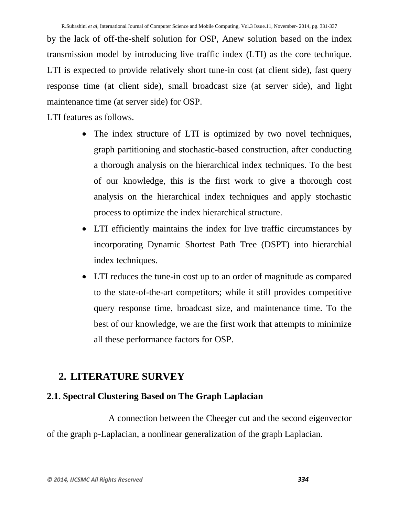by the lack of off-the-shelf solution for OSP, Anew solution based on the index transmission model by introducing live traffic index (LTI) as the core technique. LTI is expected to provide relatively short tune-in cost (at client side), fast query response time (at client side), small broadcast size (at server side), and light maintenance time (at server side) for OSP.

LTI features as follows.

- The index structure of LTI is optimized by two novel techniques, graph partitioning and stochastic-based construction, after conducting a thorough analysis on the hierarchical index techniques. To the best of our knowledge, this is the first work to give a thorough cost analysis on the hierarchical index techniques and apply stochastic process to optimize the index hierarchical structure.
- LTI efficiently maintains the index for live traffic circumstances by incorporating Dynamic Shortest Path Tree (DSPT) into hierarchial index techniques.
- LTI reduces the tune-in cost up to an order of magnitude as compared to the state-of-the-art competitors; while it still provides competitive query response time, broadcast size, and maintenance time. To the best of our knowledge, we are the first work that attempts to minimize all these performance factors for OSP.

# **2. LITERATURE SURVEY**

# **2.1. Spectral Clustering Based on The Graph Laplacian**

A connection between the Cheeger cut and the second eigenvector of the graph p-Laplacian, a nonlinear generalization of the graph Laplacian.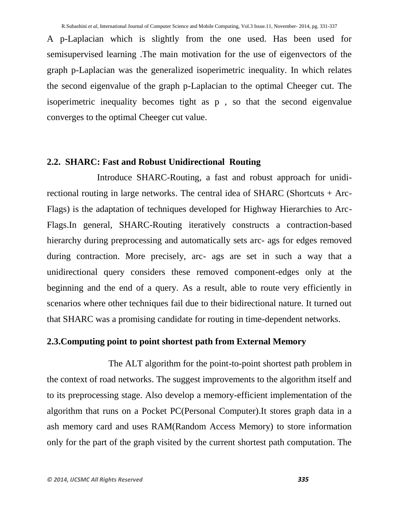A p-Laplacian which is slightly from the one used. Has been used for semisupervised learning .The main motivation for the use of eigenvectors of the graph p-Laplacian was the generalized isoperimetric inequality. In which relates the second eigenvalue of the graph p-Laplacian to the optimal Cheeger cut. The isoperimetric inequality becomes tight as p , so that the second eigenvalue converges to the optimal Cheeger cut value.

#### **2.2. SHARC: Fast and Robust Unidirectional Routing**

Introduce SHARC-Routing, a fast and robust approach for unidirectional routing in large networks. The central idea of SHARC (Shortcuts + Arc-Flags) is the adaptation of techniques developed for Highway Hierarchies to Arc-Flags.In general, SHARC-Routing iteratively constructs a contraction-based hierarchy during preprocessing and automatically sets arc- ags for edges removed during contraction. More precisely, arc- ags are set in such a way that a unidirectional query considers these removed component-edges only at the beginning and the end of a query. As a result, able to route very efficiently in scenarios where other techniques fail due to their bidirectional nature. It turned out that SHARC was a promising candidate for routing in time-dependent networks.

# **2.3.Computing point to point shortest path from External Memory**

 The ALT algorithm for the point-to-point shortest path problem in the context of road networks. The suggest improvements to the algorithm itself and to its preprocessing stage. Also develop a memory-efficient implementation of the algorithm that runs on a Pocket PC(Personal Computer).It stores graph data in a ash memory card and uses RAM(Random Access Memory) to store information only for the part of the graph visited by the current shortest path computation. The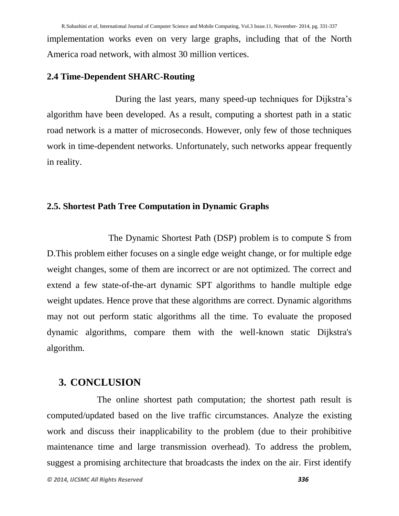implementation works even on very large graphs, including that of the North America road network, with almost 30 million vertices.

## **2.4 Time-Dependent SHARC-Routing**

 During the last years, many speed-up techniques for Dijkstra's algorithm have been developed. As a result, computing a shortest path in a static road network is a matter of microseconds. However, only few of those techniques work in time-dependent networks. Unfortunately, such networks appear frequently in reality.

## **2.5. Shortest Path Tree Computation in Dynamic Graphs**

The Dynamic Shortest Path (DSP) problem is to compute S from D.This problem either focuses on a single edge weight change, or for multiple edge weight changes, some of them are incorrect or are not optimized. The correct and extend a few state-of-the-art dynamic SPT algorithms to handle multiple edge weight updates. Hence prove that these algorithms are correct. Dynamic algorithms may not out perform static algorithms all the time. To evaluate the proposed dynamic algorithms, compare them with the well-known static Dijkstra's algorithm.

#### **3. CONCLUSION**

 The online shortest path computation; the shortest path result is computed/updated based on the live traffic circumstances. Analyze the existing work and discuss their inapplicability to the problem (due to their prohibitive maintenance time and large transmission overhead). To address the problem, suggest a promising architecture that broadcasts the index on the air. First identify